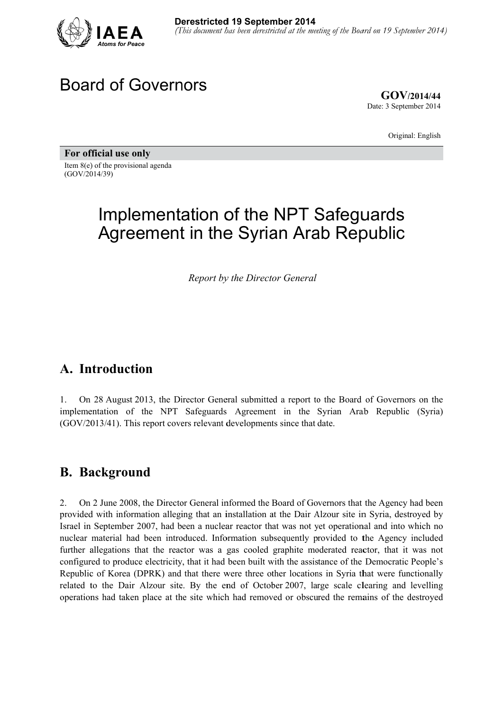

## **Board of Governors**

 $GOV/2014/44$ Date: 3 September 2014

Original: English

For official use only Item  $8(e)$  of the provisional agenda  $(GOV/2014/39)$ 

# Implementation of the NPT Safeguards **Agreement in the Syrian Arab Republic**

**Report by the Director General** 

#### A. Introduction

 $\mathbf{1}$ . On 28 August 2013, the Director General submitted a report to the Board of Governors on the implementation of the NPT Safeguards Agreement in the Syrian Arab Republic (Syria) (GOV/2013/41). This report covers relevant developments since that date.

#### **B.** Background

2. On 2 June 2008, the Director General informed the Board of Governors that the Agency had been provided with information alleging that an installation at the Dair Alzour site in Syria, destroyed by Israel in September 2007, had been a nuclear reactor that was not yet operational and into which no nuclear material had been introduced. Information subsequently provided to the Agency included further allegations that the reactor was a gas cooled graphite moderated reactor, that it was not configured to produce electricity, that it had been built with the assistance of the Democratic People's Republic of Korea (DPRK) and that there were three other locations in Syria that were functionally related to the Dair Alzour site. By the end of October 2007, large scale clearing and levelling operations had taken place at the site which had removed or obscured the remains of the destroyed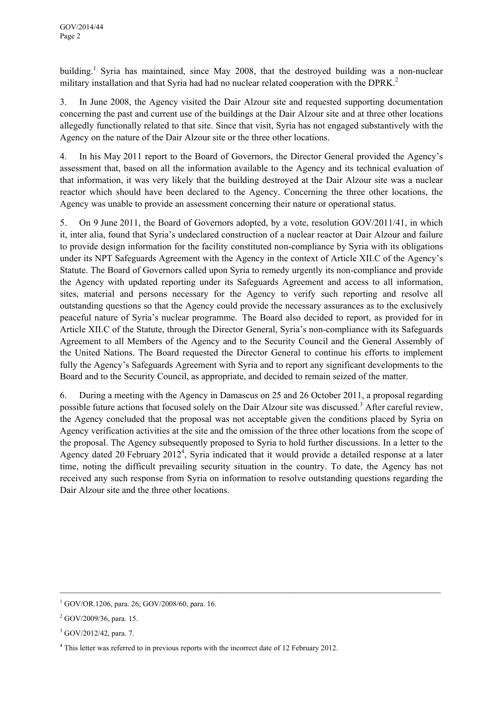building.<sup>1</sup> Syria has maintained, since May 2008, that the destroyed building was a non-nuclear military installation and that Syria had had no nuclear related cooperation with the DPRK.<sup>2</sup>

3. In June 2008, the Agency visited the Dair Alzour site and requested supporting documentation concerning the past and current use of the buildings at the Dair Alzour site and at three other locations allegedly functionally related to that site. Since that visit, Syria has not engaged substantively with the Agency on the nature of the Dair Alzour site or the three other locations.

4. In his May 2011 report to the Board of Governors, the Director General provided the Agency's assessment that, based on all the information available to the Agency and its technical evaluation of that information, it was very likely that the building destroyed at the Dair Alzour site was a nuclear reactor which should have been declared to the Agency. Concerning the three other locations, the Agency was unable to provide an assessment concerning their nature or operational status.

5. On 9 June 2011, the Board of Governors adopted, by a vote, resolution GOV/2011/41, in which it, inter alia, found that Syria's undeclared construction of a nuclear reactor at Dair Alzour and failure to provide design information for the facility constituted non-compliance by Syria with its obligations under its NPT Safeguards Agreement with the Agency in the context of Article XII.C of the Agency's Statute. The Board of Governors called upon Syria to remedy urgently its non-compliance and provide the Agency with updated reporting under its Safeguards Agreement and access to all information, sites, material and persons necessary for the Agency to verify such reporting and resolve all outstanding questions so that the Agency could provide the necessary assurances as to the exclusively peaceful nature of Syria's nuclear programme. The Board also decided to report, as provided for in Article XII.C of the Statute, through the Director General, Syria's non-compliance with its Safeguards Agreement to all Members of the Agency and to the Security Council and the General Assembly of the United Nations. The Board requested the Director General to continue his efforts to implement fully the Agency's Safeguards Agreement with Syria and to report any significant developments to the Board and to the Security Council, as appropriate, and decided to remain seized of the matter.

6. During a meeting with the Agency in Damascus on 25 and 26 October 2011, a proposal regarding possible future actions that focused solely on the Dair Alzour site was discussed.<sup>3</sup> After careful review, the Agency concluded that the proposal was not acceptable given the conditions placed by Syria on Agency verification activities at the site and the omission of the three other locations from the scope of the proposal. The Agency subsequently proposed to Syria to hold further discussions. In a letter to the Agency dated 20 February 2012<sup>4</sup>, Syria indicated that it would provide a detailed response at a later time, noting the difficult prevailing security situation in the country. To date, the Agency has not received any such response from Syria on information to resolve outstanding questions regarding the Dair Alzour site and the three other locations.

 $\mathcal{L}_\mathcal{L} = \{ \mathcal{L}_\mathcal{L} = \{ \mathcal{L}_\mathcal{L} = \{ \mathcal{L}_\mathcal{L} = \{ \mathcal{L}_\mathcal{L} = \{ \mathcal{L}_\mathcal{L} = \{ \mathcal{L}_\mathcal{L} = \{ \mathcal{L}_\mathcal{L} = \{ \mathcal{L}_\mathcal{L} = \{ \mathcal{L}_\mathcal{L} = \{ \mathcal{L}_\mathcal{L} = \{ \mathcal{L}_\mathcal{L} = \{ \mathcal{L}_\mathcal{L} = \{ \mathcal{L}_\mathcal{L} = \{ \mathcal{L}_\mathcal{$ 

<sup>1</sup> GOV/OR.1206, para. 26; GOV/2008/60, para. 16.

 $^{2}$  GOV/2009/36, para. 15.

 $3$  GOV/2012/42, para. 7.

<sup>&</sup>lt;sup>4</sup> This letter was referred to in previous reports with the incorrect date of 12 February 2012.